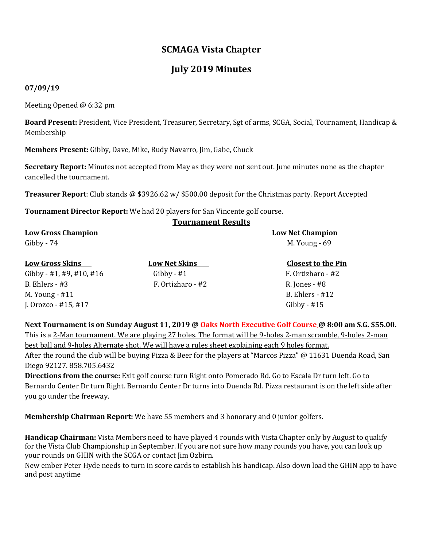## **SCMAGA Vista Chapter**

## **July 2019 Minutes**

## **07/09/19**

Meeting Opened @ 6:32 pm

**Board Present:** President, Vice President, Treasurer, Secretary, Sgt of arms, SCGA, Social, Tournament, Handicap & Membership

**Members Present:** Gibby, Dave, Mike, Rudy Navarro, Jim, Gabe, Chuck

**Secretary Report:** Minutes not accepted from May as they were not sent out. June minutes none as the chapter cancelled the tournament.

**Tournament Results**

**Treasurer Report**: Club stands @ \$3926.62 w/ \$500.00 deposit for the Christmas party. Report Accepted

**Tournament Director Report:** We had 20 players for San Vincente golf course.

| <b>Low Gross Champion</b> |                      | <b>Low Net Champion</b>   |
|---------------------------|----------------------|---------------------------|
| $Gibby - 74$              |                      | M. Young - 69             |
| <b>Low Gross Skins</b>    | <b>Low Net Skins</b> | <b>Closest to the Pin</b> |
| Gibby - #1, #9, #10, #16  | Gibby - $#1$         | F. Ortizharo - #2         |
| $B.$ Ehlers - #3          | F. Ortizharo - #2    | R. Jones - #8             |
| M. Young - #11            |                      | <b>B.</b> Ehlers - #12    |
| J. Orozco - $#15, #17$    |                      | Gibby - $#15$             |

**Next Tournament is on Sunday August 11, 2019 @ Oaks North Executive Golf Course @ 8:00 am S.G. \$55.00.**  This is a 2-Man tournament. We are playing 27 holes. The format will be 9-holes 2-man scramble, 9-holes 2-man best ball and 9-holes Alternate shot. We will have a rules sheet explaining each 9 holes format.

After the round the club will be buying Pizza & Beer for the players at "Marcos Pizza" @ 11631 Duenda Road, San Diego 92127. 858.705.6432

**Directions from the course:** Exit golf course turn Right onto Pomerado Rd. Go to Escala Dr turn left. Go to Bernardo Center Dr turn Right. Bernardo Center Dr turns into Duenda Rd. Pizza restaurant is on the left side after you go under the freeway.

**Membership Chairman Report:** We have 55 members and 3 honorary and 0 junior golfers.

**Handicap Chairman:** Vista Members need to have played 4 rounds with Vista Chapter only by August to qualify for the Vista Club Championship in September. If you are not sure how many rounds you have, you can look up your rounds on GHIN with the SCGA or contact Jim Ozbirn.

New ember Peter Hyde needs to turn in score cards to establish his handicap. Also down load the GHIN app to have and post anytime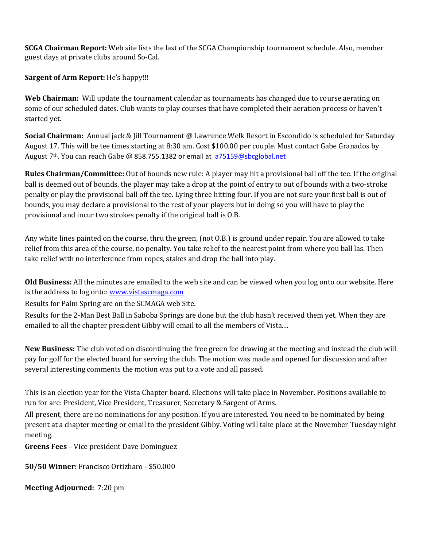**SCGA Chairman Report:** Web site lists the last of the SCGA Championship tournament schedule. Also, member guest days at private clubs around So-Cal.

**Sargent of Arm Report:** He's happy!!!

**Web Chairman:** Will update the tournament calendar as tournaments has changed due to course aerating on some of our scheduled dates. Club wants to play courses that have completed their aeration process or haven't started yet.

**Social Chairman:** Annual jack & Jill Tournament @ Lawrence Welk Resort in Escondido is scheduled for Saturday August 17. This will be tee times starting at 8:30 am. Cost \$100.00 per couple. Must contact Gabe Granados by August 7th. You can reach Gabe @ 858.755.1382 or email at [a75159@sbcglobal.net](mailto:a75159@sbcglobal.net)

**Rules Chairman/Committee:** Out of bounds new rule: A player may hit a provisional ball off the tee. If the original ball is deemed out of bounds, the player may take a drop at the point of entry to out of bounds with a two-stroke penalty or play the provisional ball off the tee. Lying three hitting four. If you are not sure your first ball is out of bounds, you may declare a provisional to the rest of your players but in doing so you will have to play the provisional and incur two strokes penalty if the original ball is O.B.

Any white lines painted on the course, thru the green, (not O.B.) is ground under repair. You are allowed to take relief from this area of the course, no penalty. You take relief to the nearest point from where you ball las. Then take relief with no interference from ropes, stakes and drop the ball into play.

**Old Business:** All the minutes are emailed to the web site and can be viewed when you log onto our website. Here is the address to log onto[: www.vistascmaga.com](http://www.vistascmaga.com/)

Results for Palm Spring are on the SCMAGA web Site.

Results for the 2-Man Best Ball in Saboba Springs are done but the club hasn't received them yet. When they are emailed to all the chapter president Gibby will email to all the members of Vista....

**New Business:** The club voted on discontinuing the free green fee drawing at the meeting and instead the club will pay for golf for the elected board for serving the club. The motion was made and opened for discussion and after several interesting comments the motion was put to a vote and all passed.

This is an election year for the Vista Chapter board. Elections will take place in November. Positions available to run for are: President, Vice President, Treasurer, Secretary & Sargent of Arms.

All present, there are no nominations for any position. If you are interested. You need to be nominated by being present at a chapter meeting or email to the president Gibby. Voting will take place at the November Tuesday night meeting.

**Greens Fees** – Vice president Dave Dominguez

**50/50 Winner:** Francisco Ortizharo - \$50.000

**Meeting Adjourned:** 7:20 pm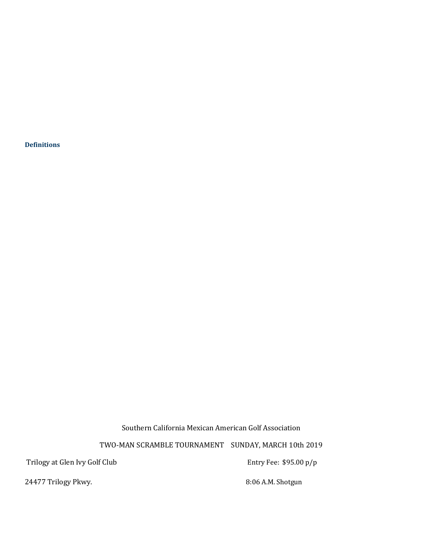**[Definitions](http://www.usga.org/etc/designs/usga/content/rule-book/rule-book-2016/rule-14253.html)** 

Southern California Mexican American Golf Association

TWO-MAN SCRAMBLE TOURNAMENT SUNDAY, MARCH 10th 2019

Trilogy at Glen Ivy Golf Club **Entry Fee:** \$95.00 p/p

24477 Trilogy Pkwy. 24477 Trilogy Pkwy.